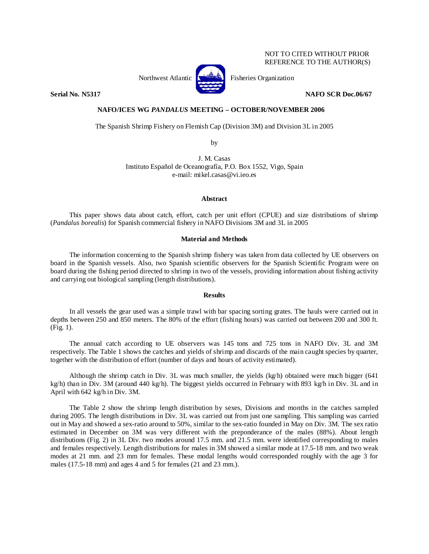## NOT TO CITED WITHOUT PRIOR REFERENCE TO THE AUTHOR(S)

Northwest Atlantic **No. 3. Expansion** Fisheries Organization



**Serial No. N5317 NAFO SCR Doc.06/67** 

# **NAFO/ICES WG** *PANDALUS* **MEETING – OCTOBER/NOVEMBER 2006**

The Spanish Shrimp Fishery on Flemish Cap (Division 3M) and Division 3L in 2005

by

J. M. Casas Instituto Español de Oceanografía, P.O. Box 1552, Vigo, Spain e-mail: mikel.casas@vi.ieo.es

### **Abstract**

This paper shows data about catch, effort, catch per unit effort (CPUE) and size distributions of shrimp (*Pandalus borealis*) for Spanish commercial fishery in NAFO Divisions 3M and 3L in 2005

## **Material and Methods**

The information concerning to the Spanish shrimp fishery was taken from data collected by UE observers on board in the Spanish vessels. Also, two Spanish scientific observers for the Spanish Scientific Program were on board during the fishing period directed to shrimp in two of the vessels, providing information about fishing activity and carrying out biological sampling (length distributions).

#### **Results**

In all vessels the gear used was a simple trawl with bar spacing sorting grates. The hauls were carried out in depths between 250 and 850 meters. The 80% of the effort (fishing hours) was carried out between 200 and 300 ft. (Fig. 1).

The annual catch according to UE observers was 145 tons and 725 tons in NAFO Div. 3L and 3M respectively. The Table 1 shows the catches and yields of shrimp and discards of the main caught species by quarter, together with the distribution of effort (number of days and hours of activity estimated).

Although the shrimp catch in Div. 3L was much smaller, the yields (kg/h) obtained were much bigger (641 kg/h) than in Div. 3M (around 440 kg/h). The biggest yields occurred in February with 893 kg/h in Div. 3L and in April with 642 kg/h in Div. 3M.

The Table 2 show the shrimp length distribution by sexes, Divisions and months in the catches sampled during 2005. The length distributions in Div. 3L was carried out from just one sampling. This sampling was carried out in May and showed a sex-ratio around to 50%, similar to the sex-ratio founded in May on Div. 3M. The sex ratio estimated in December on 3M was very different with the preponderance of the males (88%). About length distributions (Fig. 2) in 3L Div. two modes around 17.5 mm. and 21.5 mm. were identified corresponding to males and females respectively. Length distributions for males in 3M showed a similar mode at 17.5-18 mm. and two weak modes at 21 mm. and 23 mm for females. These modal lengths would corresponded roughly with the age 3 for males (17.5-18 mm) and ages 4 and 5 for females (21 and 23 mm.).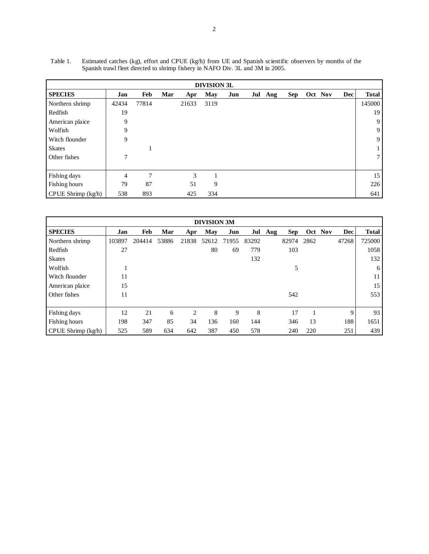| <b>DIVISION 3L</b> |       |       |     |       |      |     |  |         |            |         |            |                 |
|--------------------|-------|-------|-----|-------|------|-----|--|---------|------------|---------|------------|-----------------|
| <b>SPECIES</b>     | Jan   | Feb   | Mar | Apr   | May  | Jun |  | Jul Aug | <b>Sep</b> | Oct Nov | <b>Dec</b> | <b>Total</b>    |
| Northern shrimp    | 42434 | 77814 |     | 21633 | 3119 |     |  |         |            |         |            | 145000          |
| Redfish            | 19    |       |     |       |      |     |  |         |            |         |            | 19              |
| American plaice    | 9     |       |     |       |      |     |  |         |            |         |            | 9               |
| Wolfish            | 9     |       |     |       |      |     |  |         |            |         |            | 9               |
| Witch flounder     | 9     |       |     |       |      |     |  |         |            |         |            | 9               |
| <b>Skates</b>      |       |       |     |       |      |     |  |         |            |         |            | $\mathbf{1}$    |
| Other fishes       | 7     |       |     |       |      |     |  |         |            |         |            | $7\overline{ }$ |
|                    |       |       |     |       |      |     |  |         |            |         |            |                 |
| Fishing days       | 4     | 7     |     | 3     |      |     |  |         |            |         |            | 15              |
| Fishing hours      | 79    | 87    |     | 51    | 9    |     |  |         |            |         |            | 226             |
| CPUE Shrimp (kg/h) | 538   | 893   |     | 425   | 334  |     |  |         |            |         |            | 641             |

Table 1. Estimated catches (kg), effort and CPUE (kg/h) from UE and Spanish scientific observers by months of the Spanish trawl fleet directed to shrimp fishery in NAFO Div. 3L and 3M in 2005.

| <b>DIVISION 3M</b> |        |        |       |       |       |       |       |     |            |      |         |            |              |
|--------------------|--------|--------|-------|-------|-------|-------|-------|-----|------------|------|---------|------------|--------------|
| <b>SPECIES</b>     | Jan    | Feb    | Mar   | Apr   | May   | Jun   | Jul   | Aug | <b>Sep</b> |      | Oct Nov | <b>Dec</b> | <b>Total</b> |
| Northern shrimp    | 103897 | 204414 | 53886 | 21838 | 52612 | 71955 | 83292 |     | 82974      | 2862 |         | 47268      | 725000       |
| Redfish            | 27     |        |       |       | 80    | 69    | 779   |     | 103        |      |         |            | 1058         |
| <b>Skates</b>      |        |        |       |       |       |       | 132   |     |            |      |         |            | 132          |
| Wolfish            |        |        |       |       |       |       |       |     | 5          |      |         |            | 6            |
| Witch flounder     | 11     |        |       |       |       |       |       |     |            |      |         |            | 11           |
| American plaice    | 15     |        |       |       |       |       |       |     |            |      |         |            | 15           |
| Other fishes       | 11     |        |       |       |       |       |       |     | 542        |      |         |            | 553          |
|                    |        |        |       |       |       |       |       |     |            |      |         |            |              |
| Fishing days       | 12     | 21     | 6     | 2     | 8     | 9     | 8     |     | 17         |      |         | 9          | 93           |
| Fishing hours      | 198    | 347    | 85    | 34    | 136   | 160   | 144   |     | 346        | 13   |         | 188        | 1651         |
| CPUE Shrimp (kg/h) | 525    | 589    | 634   | 642   | 387   | 450   | 578   |     | 240        | 220  |         | 251        | 439          |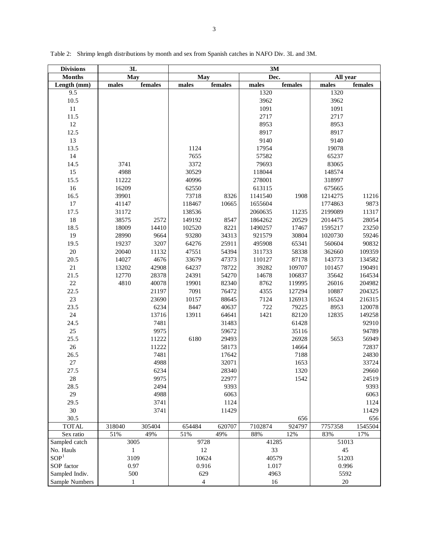| <b>Divisions</b> | 3L           |         | 3M                |         |         |         |          |         |  |  |
|------------------|--------------|---------|-------------------|---------|---------|---------|----------|---------|--|--|
| <b>Months</b>    | May          |         | $\overline{M}$ ay |         | Dec.    |         | All year |         |  |  |
| Length (mm)      | males        | females | males             | females | males   | females | males    | females |  |  |
| $\overline{9.5}$ |              |         |                   |         | 1320    |         | 1320     |         |  |  |
| 10.5             |              |         |                   |         | 3962    |         | 3962     |         |  |  |
| $11\,$           |              |         |                   |         | 1091    |         | 1091     |         |  |  |
| 11.5             |              |         |                   |         | 2717    |         | 2717     |         |  |  |
| $12\,$           |              |         |                   |         | 8953    |         | 8953     |         |  |  |
| 12.5             |              |         |                   |         | 8917    |         | 8917     |         |  |  |
| 13               |              |         |                   |         | 9140    |         | 9140     |         |  |  |
| 13.5             |              |         | 1124              |         | 17954   |         | 19078    |         |  |  |
| 14               |              |         | 7655              |         | 57582   |         | 65237    |         |  |  |
| 14.5             | 3741         |         | 3372              |         | 79693   |         | 83065    |         |  |  |
| 15               | 4988         |         | 30529             |         | 118044  |         | 148574   |         |  |  |
| 15.5             | 11222        |         | 40996             |         | 278001  |         | 318997   |         |  |  |
| 16               | 16209        |         | 62550             |         | 613115  |         | 675665   |         |  |  |
| 16.5             | 39901        |         | 73718             | 8326    | 1141540 | 1908    | 1214275  | 11216   |  |  |
| 17               | 41147        |         | 118467            | 10665   | 1655604 |         | 1774863  | 9873    |  |  |
| 17.5             | 31172        |         | 138536            |         | 2060635 | 11235   | 2199089  | 11317   |  |  |
| 18               | 38575        | 2572    | 149192            | 8547    | 1864262 | 20529   | 2014475  | 28054   |  |  |
| 18.5             | 18009        | 14410   | 102520            | 8221    | 1490257 | 17467   | 1595217  | 23250   |  |  |
| 19               | 28990        | 9664    | 93280             | 34313   | 921579  | 30804   | 1020730  | 59246   |  |  |
| 19.5             | 19237        | 3207    | 64276             | 25911   | 495908  | 65341   | 560604   | 90832   |  |  |
| $20\,$           | 20040        | 11132   | 47551             | 54394   | 311733  | 58338   | 362660   | 109359  |  |  |
| 20.5             | 14027        | 4676    | 33679             | 47373   | 110127  | 87178   | 143773   | 134582  |  |  |
| $21\,$           | 13202        | 42908   | 64237             | 78722   | 39282   | 109707  | 101457   | 190491  |  |  |
| 21.5             | 12770        | 28378   | 24391             | 54270   | 14678   | 106837  | 35642    | 164534  |  |  |
| $22\,$           | 4810         | 40078   | 19901             | 82340   | 8762    | 119995  | 26016    | 204982  |  |  |
| 22.5             |              | 21197   | 7091              | 76472   | 4355    | 127294  | 10887    | 204325  |  |  |
| $23\,$           |              | 23690   | 10157             | 88645   | 7124    | 126913  | 16524    | 216315  |  |  |
| 23.5             |              | 6234    | 8447              | 40637   | 722     | 79225   | 8953     | 120078  |  |  |
| $24\,$           |              | 13716   | 13911             | 64641   | 1421    | 82120   | 12835    | 149258  |  |  |
| 24.5             |              | 7481    |                   | 31483   |         | 61428   |          | 92910   |  |  |
| 25               |              | 9975    |                   | 59672   |         | 35116   |          | 94789   |  |  |
| 25.5             |              | 11222   | 6180              | 29493   |         | 26928   | 5653     | 56949   |  |  |
| $26\,$           |              | 11222   |                   | 58173   |         | 14664   |          | 72837   |  |  |
| 26.5             |              | 7481    |                   | 17642   |         | 7188    |          | 24830   |  |  |
| $27\,$           |              | 4988    |                   | 32071   |         | 1653    |          | 33724   |  |  |
| 27.5             |              | 6234    |                   | 28340   |         | 1320    |          | 29660   |  |  |
| $28\,$           |              | 9975    |                   | 22977   |         | 1542    |          | 24519   |  |  |
| 28.5             |              | 2494    |                   | 9393    |         |         |          | 9393    |  |  |
| 29               |              | 4988    |                   | 6063    |         |         |          | 6063    |  |  |
|                  |              |         |                   |         |         |         |          |         |  |  |
| 29.5             |              | 3741    |                   | 1124    |         |         |          | 1124    |  |  |
| 30               |              | 3741    |                   | 11429   |         |         |          | 11429   |  |  |
| 30.5             |              |         |                   |         |         | 656     |          | 656     |  |  |
| <b>TOTAL</b>     | 318040       | 305404  | 654484            | 620707  | 7102874 | 924797  | 7757358  | 1545504 |  |  |
| Sex ratio        | 51%          | 49%     | 51%               | 49%     | $88\%$  | 12%     | 83%      | 17%     |  |  |
| Sampled catch    | 3005         |         | 9728              |         | 41285   |         | 51013    |         |  |  |
| No. Hauls        | $\mathbf{1}$ |         | $12\,$            |         | 33      |         | 45       |         |  |  |
| SOP <sup>1</sup> | 3109         |         | 10624             |         | 40579   |         | 51203    |         |  |  |
| SOP factor       | 0.97         |         | 0.916             |         | 1.017   |         | 0.996    |         |  |  |
| Sampled Indiv.   | 500          |         | 629               |         | 4963    |         | 5592     |         |  |  |
| Sample Numbers   | $\mathbf{1}$ |         | $\overline{4}$    |         | 16      |         | $20\,$   |         |  |  |

Table 2: Shrimp length distributions by month and sex from Spanish catches in NAFO Div. 3L and 3M.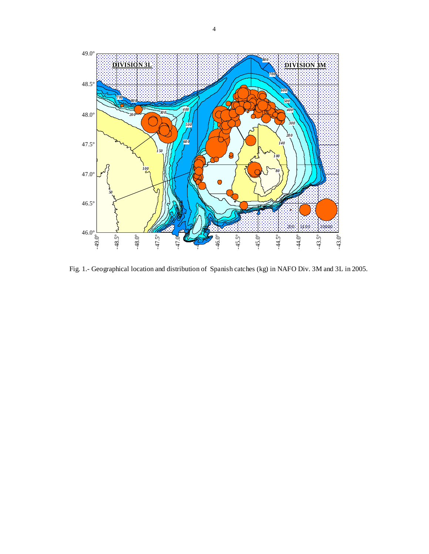

Fig. 1.- Geographical location and distribution of Spanish catches (kg) in NAFO Div. 3M and 3L in 2005.